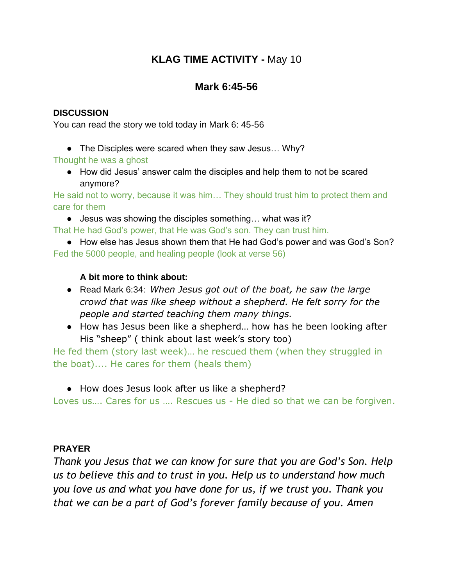# **KLAG TIME ACTIVITY -** May 10

## **Mark 6:45-56**

#### **DISCUSSION**

You can read the story we told today in Mark 6: 45-56

• The Disciples were scared when they saw Jesus... Why?

Thought he was a ghost

● How did Jesus' answer calm the disciples and help them to not be scared anymore?

He said not to worry, because it was him… They should trust him to protect them and care for them

● Jesus was showing the disciples something... what was it?

That He had God's power, that He was God's son. They can trust him.

● How else has Jesus shown them that He had God's power and was God's Son? Fed the 5000 people, and healing people (look at verse 56)

#### **A bit more to think about:**

- Read Mark 6:34: *When Jesus got out of the boat, he saw the large crowd that was like sheep without a shepherd. He felt sorry for the people and started teaching them many things.*
- How has Jesus been like a shepherd... how has he been looking after His "sheep" ( think about last week's story too)

He fed them (story last week)… he rescued them (when they struggled in the boat).... He cares for them (heals them)

● How does Jesus look after us like a shepherd?

Loves us…. Cares for us …. Rescues us - He died so that we can be forgiven.

#### **PRAYER**

*Thank you Jesus that we can know for sure that you are God's Son. Help us to believe this and to trust in you. Help us to understand how much you love us and what you have done for us, if we trust you. Thank you that we can be a part of God's forever family because of you. Amen*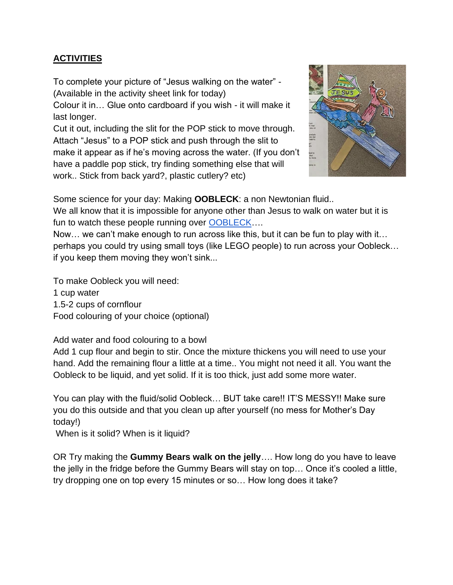## **ACTIVITIES**

To complete your picture of "Jesus walking on the water" - (Available in the activity sheet link for today)

Colour it in… Glue onto cardboard if you wish - it will make it last longer.

Cut it out, including the slit for the POP stick to move through. Attach "Jesus" to a POP stick and push through the slit to make it appear as if he's moving across the water. (If you don't have a paddle pop stick, try finding something else that will work.. Stick from back yard?, plastic cutlery? etc)



Some science for your day: Making **OOBLECK**: a non Newtonian fluid..

We all know that it is impossible for anyone other than Jesus to walk on water but it is fun to watch these people running over OOBLECK....

Now… we can't make enough to run across like this, but it can be fun to play with it… perhaps you could try using small toys (like LEGO people) to run across your Oobleck… if you keep them moving they won't sink...

To make Oobleck you will need:

1 cup water

1.5-2 cups of cornflour

Food colouring of your choice (optional)

Add water and food colouring to a bowl

Add 1 cup flour and begin to stir. Once the mixture thickens you will need to use your hand. Add the remaining flour a little at a time.. You might not need it all. You want the Oobleck to be liquid, and yet solid. If it is too thick, just add some more water.

You can play with the fluid/solid Oobleck… BUT take care!! IT'S MESSY!! Make sure you do this outside and that you clean up after yourself (no mess for Mother's Day today!)

When is it solid? When is it liquid?

OR Try making the **Gummy Bears walk on the jelly**…. How long do you have to leave the jelly in the fridge before the Gummy Bears will stay on top… Once it's cooled a little, try dropping one on top every 15 minutes or so… How long does it take?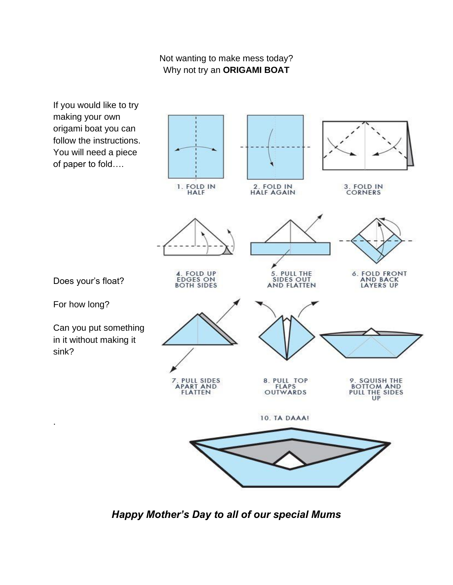### Not wanting to make mess today? Why not try an **ORIGAMI BOAT**



*Happy Mother's Day to all of our special Mums*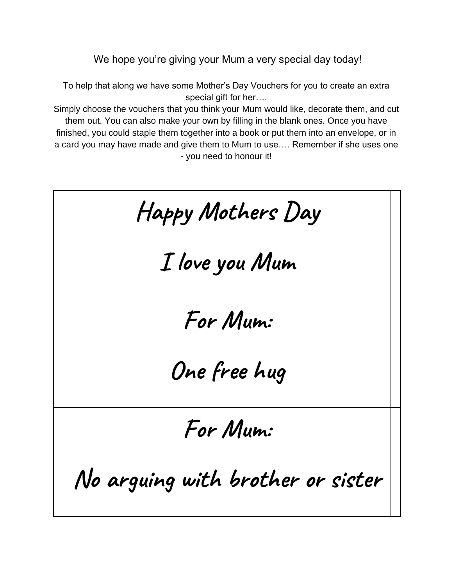We hope you're giving your Mum a very special day today!

To help that along we have some Mother's Day Vouchers for you to create an extra special gift for her….

Simply choose the vouchers that you think your Mum would like, decorate them, and cut them out. You can also make your own by filling in the blank ones. Once you have finished, you could staple them together into a book or put them into an envelope, or in a card you may have made and give them to Mum to use…. Remember if she uses one - you need to honour it!

**Happy Mothers Day I love you Mum For Mum: One free hug For Mum: No arguing with brother or sister**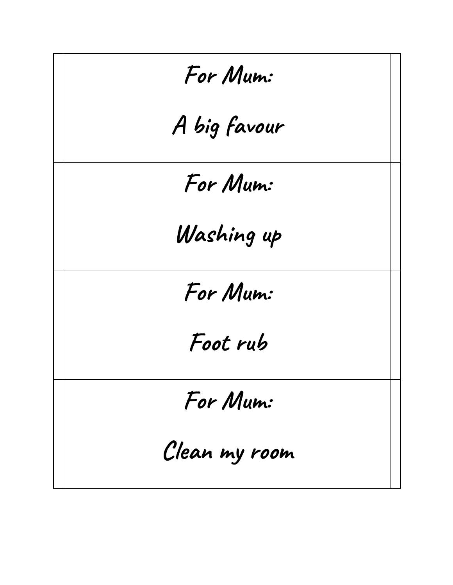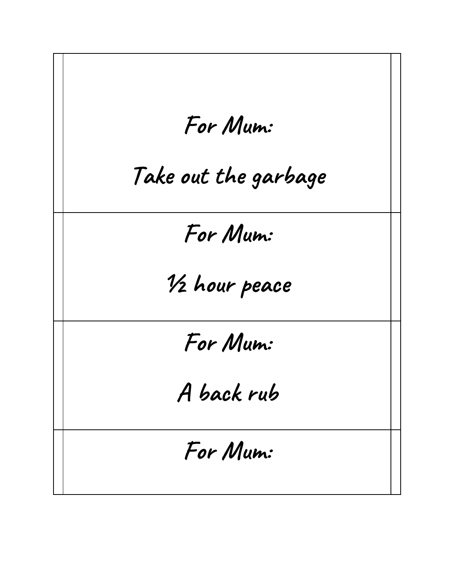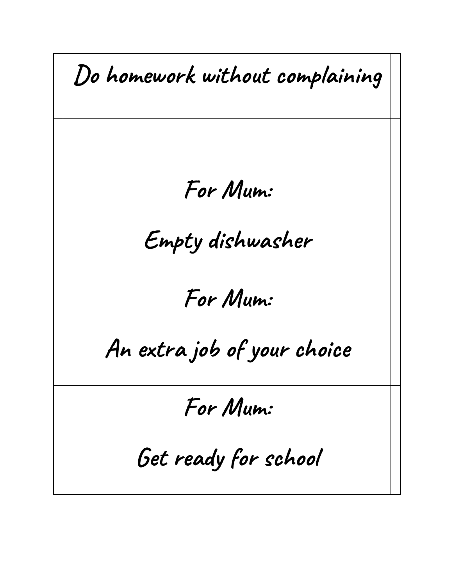**Do homework without complaining For Mum: Empty dishwasher For Mum: An extra job of your choice For Mum: Get ready for school**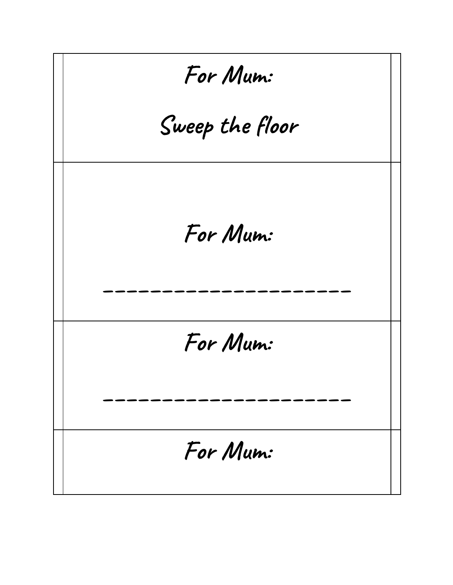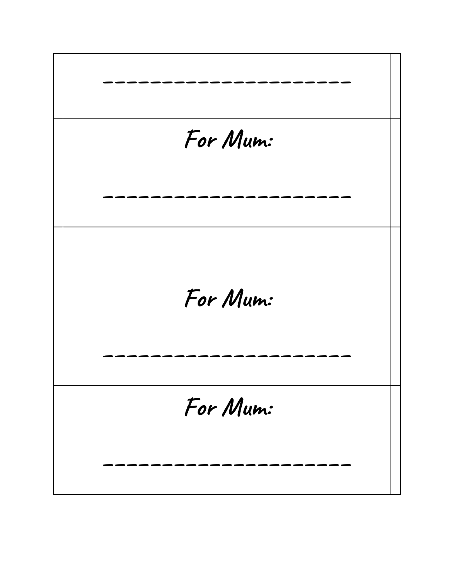